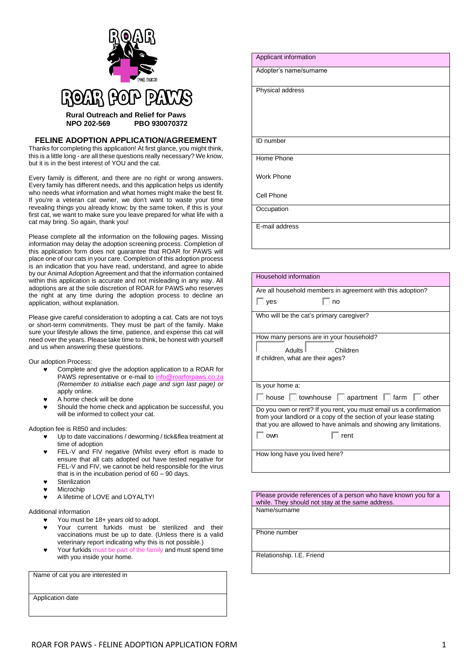

## **FELINE ADOPTION APPLICATION/AGREEMENT**

Thanks for completing this application! At first glance, you might think, this is a little long - are all these questions really necessary? We know, but it is in the best interest of YOU and the cat.

Every family is different, and there are no right or wrong answers. Every family has different needs, and this application helps us identify who needs what information and what homes might make the best fit. If you're a veteran cat owner, we don't want to waste your time revealing things you already know; by the same token, if this is your first cat, we want to make sure you leave prepared for what life with a cat may bring. So again, thank you!

Please complete all the information on the following pages. Missing information may delay the adoption screening process. Completion of this application form does not guarantee that ROAR for PAWS will place one of our cats in your care. Completion of this adoption process is an indication that you have read, understand, and agree to abide by our Animal Adoption Agreement and that the information contained within this application is accurate and not misleading in any way. All adoptions are at the sole discretion of ROAR for PAWS who reserves the right at any time during the adoption process to decline an application, without explanation.

Please give careful consideration to adopting a cat. Cats are not toys or short-term commitments. They must be part of the family. Make sure your lifestyle allows the time, patience, and expense this cat will need over the years. Please take time to think, be honest with yourself and us when answering these questions.

Our adoption Process:

- Complete and give the adoption application to a ROAR for PAWS representative or e-mail to info@roarform *(Remember to initialise each page and sign last page) or*  apply online.
- A home check will be done
- Should the home check and application be successful, you will be informed to collect your cat.

Adoption fee is R850 and includes:

- Up to date vaccinations / deworming / tick&flea treatment at time of adoption
- FEL-V and FIV negative (Whilst every effort is made to ensure that all cats adopted out have tested negative for FEL-V and FIV, we cannot be held responsible for the virus that is in the incubation period of  $60 - 90$  days.
- **Sterilization**
- Microchip
- A lifetime of LOVE and LOYALTY!

Additional information

- You must be 18+ years old to adopt.
- Your current furkids must be sterilized and their vaccinations must be up to date. (Unless there is a valid veterinary report indicating why this is not possible.)
- Your furkids must be part of the family and must spend time with you inside your home.

Name of cat you are interested in

Application date

| Applicant information  |
|------------------------|
| Adopter's name/surname |
| Physical address       |
| ID number              |
| Home Phone             |
| <b>Work Phone</b>      |
| Cell Phone             |
| Occupation             |
| E-mail address         |

| Household information                                                                                                                  |  |  |
|----------------------------------------------------------------------------------------------------------------------------------------|--|--|
| Are all household members in agreement with this adoption?                                                                             |  |  |
| ves<br>no                                                                                                                              |  |  |
| Who will be the cat's primary caregiver?                                                                                               |  |  |
|                                                                                                                                        |  |  |
| How many persons are in your household?                                                                                                |  |  |
| Adults <sup>I</sup><br>Children                                                                                                        |  |  |
| If children, what are their ages?                                                                                                      |  |  |
|                                                                                                                                        |  |  |
|                                                                                                                                        |  |  |
| Is your home a:                                                                                                                        |  |  |
| house townhouse   apartment   farm<br>other                                                                                            |  |  |
| Do you own or rent? If you rent, you must email us a confirmation                                                                      |  |  |
| from your landlord or a copy of the section of your lease stating<br>that you are allowed to have animals and showing any limitations. |  |  |
| own<br>rent                                                                                                                            |  |  |
|                                                                                                                                        |  |  |
| How long have you lived here?                                                                                                          |  |  |
|                                                                                                                                        |  |  |

Please provide references of a person who have known you for a while. They should not stay at the same address. Name/surname

Phone number

Relationship. I.E. Friend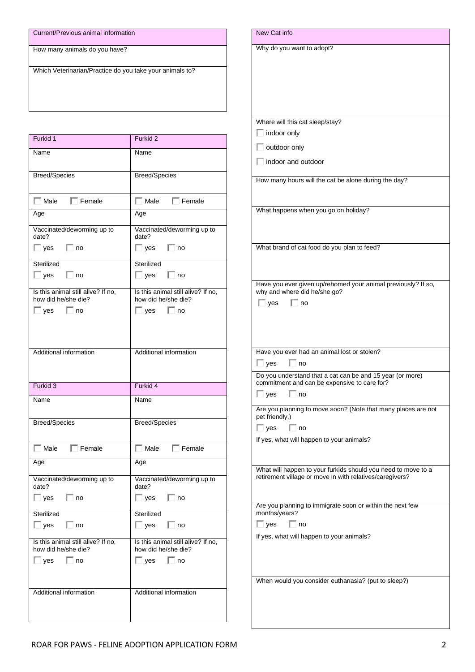| Current/Previous animal information |  |
|-------------------------------------|--|
|                                     |  |

How many animals do you have?

Which Veterinarian/Practice do you take your animals to?

| Furkid 1                                                  | Furkid <sub>2</sub>                                       |
|-----------------------------------------------------------|-----------------------------------------------------------|
| Name                                                      | Name                                                      |
| <b>Breed/Species</b>                                      | Breed/Species                                             |
| $\Box$ Male<br>$\Box$ Female                              | $\Box$ Female<br>$\Box$ Male                              |
| Age                                                       | Age                                                       |
| Vaccinated/deworming up to<br>date?                       | Vaccinated/deworming up to<br>date?                       |
| □ yes □ no                                                | $\Box$ yes $\Box$ no                                      |
| Sterilized<br>$\Box$ yes $\Box$ no                        | Sterilized<br>$\Box$ yes $\Box$ no                        |
| Is this animal still alive? If no,<br>how did he/she die? | Is this animal still alive? If no,<br>how did he/she die? |
| $\Box$ yes<br>∣ no                                        | $\Box$ yes<br>⊟ no                                        |
| Additional information                                    | Additional information                                    |
|                                                           |                                                           |
| Furkid 3                                                  | Furkid 4                                                  |
| Name                                                      | Name                                                      |
| <b>Breed/Species</b>                                      | <b>Breed/Species</b>                                      |
| $\Box$ Female<br>$\Box$ Male                              | $\Box$ Male $\Box$ Female                                 |
| Age                                                       | Age                                                       |
| Vaccinated/deworming up to<br>date?                       | Vaccinated/deworming up to<br>date?                       |
| $\Box$ yes $\Box$ no                                      | $\Box$ yes $\Box$ no                                      |
| Sterilized                                                | Sterilized                                                |
| $\Box$ yes $\Box$ no                                      | $\Box$ yes $\Box$ no                                      |
| Is this animal still alive? If no,<br>how did he/she die? | Is this animal still alive? If no,<br>how did he/she die? |
| $\Box$ yes $\Box$ no                                      | $\Box$ yes $\Box$ no                                      |
| Additional information                                    | Additional information                                    |

| New Cat info                                                  |
|---------------------------------------------------------------|
|                                                               |
| Why do you want to adopt?                                     |
|                                                               |
|                                                               |
|                                                               |
|                                                               |
|                                                               |
| Where will this cat sleep/stay?                               |
| indoor only                                                   |
|                                                               |
| outdoor only                                                  |
| indoor and outdoor                                            |
| How many hours will the cat be alone during the day?          |
|                                                               |
|                                                               |
| What happens when you go on holiday?                          |
|                                                               |
|                                                               |
| What brand of cat food do you plan to feed?                   |
|                                                               |
|                                                               |
| Have you ever given up/rehomed your animal previously? If so, |
| why and where did he/she go?                                  |
| $\overline{\phantom{a}}$ yes<br>∣ ∣no                         |
|                                                               |
|                                                               |
|                                                               |
| Have you ever had an animal lost or stolen?                   |
| $\Box$ yes<br>no                                              |
| Do you understand that a cat can be and 15 year (or more)     |
| commitment and can be expensive to care for?                  |
| $\Box$ no<br>$\Box$ yes                                       |
| Are you planning to move soon? (Note that many places are not |
| pet friendly.)                                                |
| $\Box$ yes<br>l⊟ no                                           |
| If yes, what will happen to your animals?                     |
|                                                               |
| What will happen to your furkids should you need to move to a |
| retirement village or move in with relatives/caregivers?      |
|                                                               |
| Are you planning to immigrate soon or within the next few     |
| months/years?                                                 |
| $\Box$ no<br>$\Box$ yes                                       |
| If yes, what will happen to your animals?                     |
|                                                               |
|                                                               |
|                                                               |
| When would you consider euthanasia? (put to sleep?)           |
|                                                               |
|                                                               |
|                                                               |